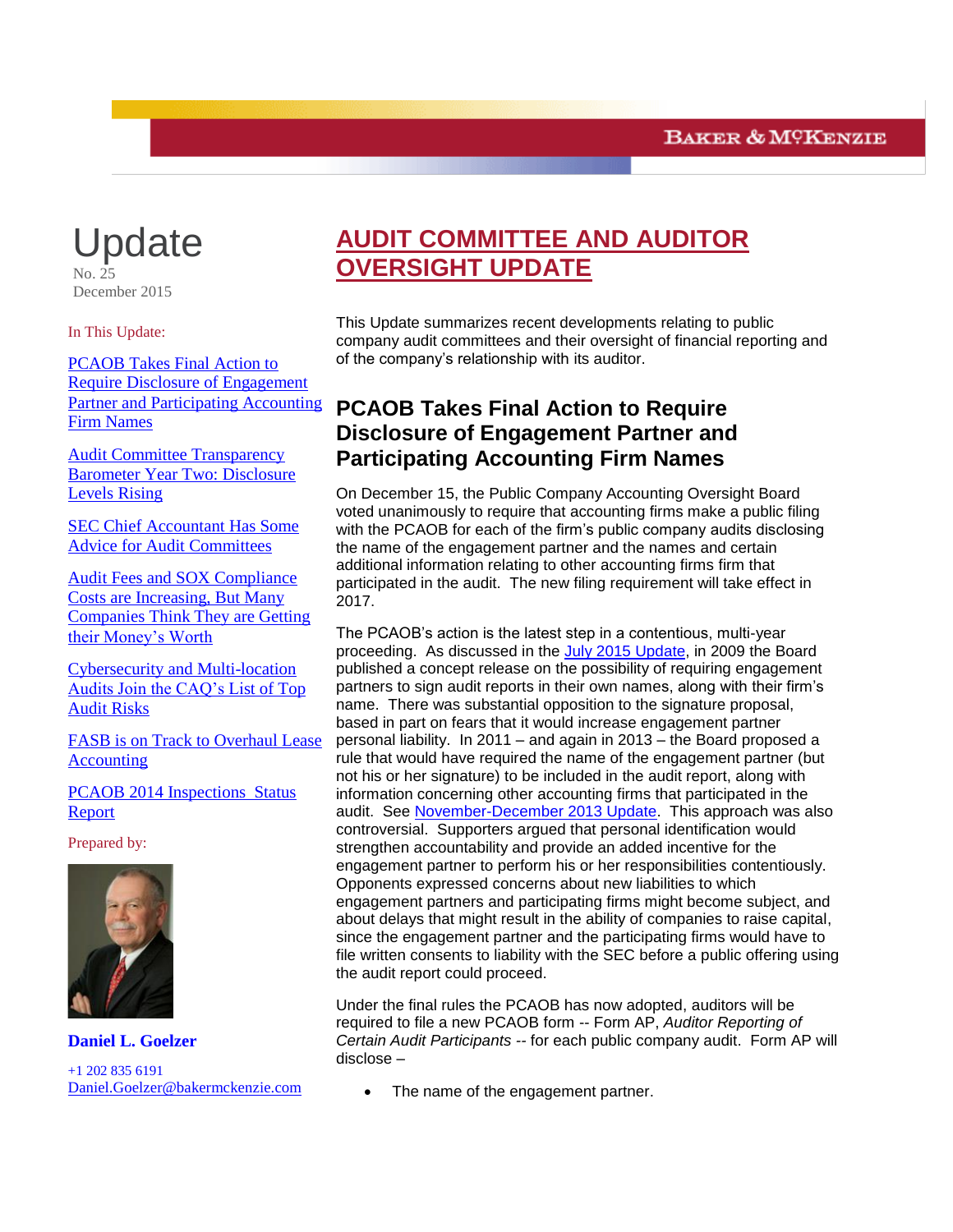# **Update**

No. 25 December 2015

In This Update:

<span id="page-0-0"></span>PCAOB [Takes Final Action to](#page-0-0)  [Require Disclosure of Engagement](#page-0-0)  [Partner and Participating Accounting](#page-0-0)  [Firm Names](#page-0-0)

[Audit Committee Transparency](#page-2-0)  [Barometer Year Two: Disclosure](#page-2-0)  [Levels Rising](#page-2-0)

[SEC Chief Accountant Has Some](#page-3-0)  [Advice for Audit Committees](#page-3-0)

[Audit Fees and SOX Compliance](#page-4-0)  [Costs are Increasing, But Many](#page-4-0)  [Companies Think They are Getting](#page-4-0)  [their Money's Worth](#page-4-0)

[Cybersecurity and Multi-location](#page-6-0)  [Audits Join the CAQ's List of Top](#page-6-0)  [Audit Risks](#page-6-0)

[FASB is on Track to Overhaul Lease](#page-8-0)  [Accounting](#page-8-0)

PCAOB 2014 [Inspections](#page-9-0) Status [Report](#page-9-0) 

Prepared by:



**Daniel L. Goelzer** +1 202 835 6191 [Daniel.Goelzer@bakermckenzie.com](mailto:Daniel.Goelzer@bakermckenzie.com)

## **AUDIT COMMITTEE AND AUDITOR OVERSIGHT UPDATE**

This Update summarizes recent developments relating to public company audit committees and their oversight of financial reporting and of the company's relationship with its auditor.

## **PCAOB Takes Final Action to Require Disclosure of Engagement Partner and Participating Accounting Firm Names**

On December 15, the Public Company Accounting Oversight Board voted unanimously to require that accounting firms make a public filing with the PCAOB for each of the firm's public company audits disclosing the name of the engagement partner and the names and certain additional information relating to other accounting firms firm that participated in the audit. The new filing requirement will take effect in 2017.

The PCAOB's action is the latest step in a contentious, multi-year proceeding. As discussed in the [July 2015 Update,](http://www.bakermckenzie.com/files/Uploads/Documents/Publications/NA/nl_washingtondc_auditupdate22_jul15.pdf) in 2009 the Board published a concept release on the possibility of requiring engagement partners to sign audit reports in their own names, along with their firm's name. There was substantial opposition to the signature proposal, based in part on fears that it would increase engagement partner personal liability. In 2011 – and again in 2013 – the Board proposed a rule that would have required the name of the engagement partner (but not his or her signature) to be included in the audit report, along with information concerning other accounting firms that participated in the audit. See [November-December 2013 Update.](http://www.bakermckenzie.com/files/Publication/02b074a6-aecb-464f-835e-4122d634be10/Presentation/PublicationAttachment/0f2ce890-e475-42ea-be94-4331acac30d9/al_na_auditcommitteeupdate_novdec13.pdf) This approach was also controversial. Supporters argued that personal identification would strengthen accountability and provide an added incentive for the engagement partner to perform his or her responsibilities contentiously. Opponents expressed concerns about new liabilities to which engagement partners and participating firms might become subject, and about delays that might result in the ability of companies to raise capital, since the engagement partner and the participating firms would have to file written consents to liability with the SEC before a public offering using the audit report could proceed.

Under the final rules the PCAOB has now adopted, auditors will be required to file a new PCAOB form -- Form AP, *Auditor Reporting of Certain Audit Participants --* for each public company audit. Form AP will disclose –

The name of the engagement partner.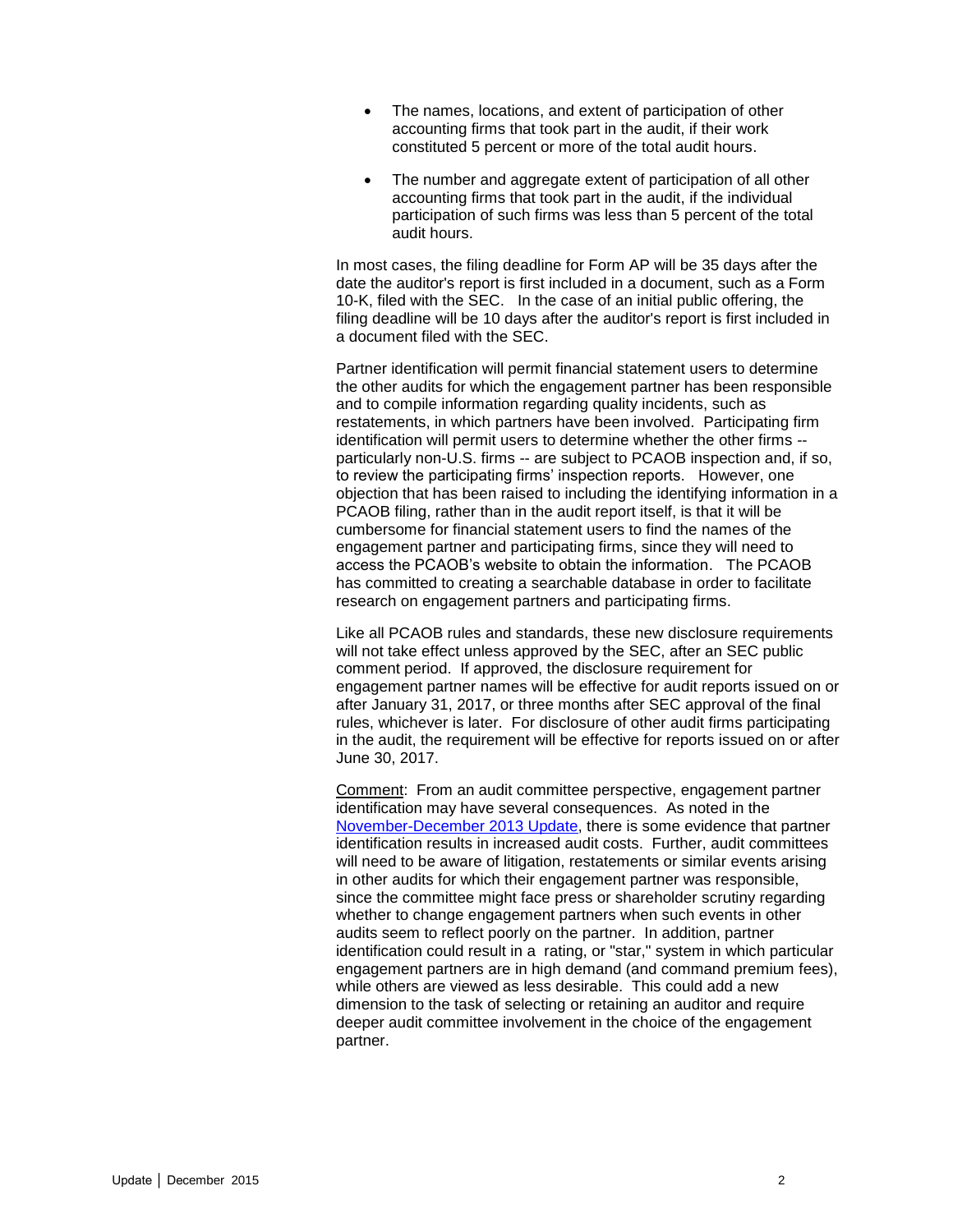- The names, locations, and extent of participation of other accounting firms that took part in the audit, if their work constituted 5 percent or more of the total audit hours.
- The number and aggregate extent of participation of all other accounting firms that took part in the audit, if the individual participation of such firms was less than 5 percent of the total audit hours.

In most cases, the filing deadline for Form AP will be 35 days after the date the auditor's report is first included in a document, such as a Form 10-K, filed with the SEC. In the case of an initial public offering, the filing deadline will be 10 days after the auditor's report is first included in a document filed with the SEC.

Partner identification will permit financial statement users to determine the other audits for which the engagement partner has been responsible and to compile information regarding quality incidents, such as restatements, in which partners have been involved. Participating firm identification will permit users to determine whether the other firms - particularly non-U.S. firms -- are subject to PCAOB inspection and, if so, to review the participating firms' inspection reports. However, one objection that has been raised to including the identifying information in a PCAOB filing, rather than in the audit report itself, is that it will be cumbersome for financial statement users to find the names of the engagement partner and participating firms, since they will need to access the PCAOB's website to obtain the information. The PCAOB has committed to creating a searchable database in order to facilitate research on engagement partners and participating firms.

Like all PCAOB rules and standards, these new disclosure requirements will not take effect unless approved by the SEC, after an SEC public comment period. If approved, the disclosure requirement for engagement partner names will be effective for audit reports issued on or after January 31, 2017, or three months after SEC approval of the final rules, whichever is later. For disclosure of other audit firms participating in the audit, the requirement will be effective for reports issued on or after June 30, 2017.

Comment: From an audit committee perspective, engagement partner identification may have several consequences. As noted in the [November-December 2013 Update,](http://www.bakermckenzie.com/files/Publication/02b074a6-aecb-464f-835e-4122d634be10/Presentation/PublicationAttachment/0f2ce890-e475-42ea-be94-4331acac30d9/al_na_auditcommitteeupdate_novdec13.pdf) there is some evidence that partner identification results in increased audit costs. Further, audit committees will need to be aware of litigation, restatements or similar events arising in other audits for which their engagement partner was responsible, since the committee might face press or shareholder scrutiny regarding whether to change engagement partners when such events in other audits seem to reflect poorly on the partner. In addition, partner identification could result in a rating, or "star," system in which particular engagement partners are in high demand (and command premium fees), while others are viewed as less desirable. This could add a new dimension to the task of selecting or retaining an auditor and require deeper audit committee involvement in the choice of the engagement partner.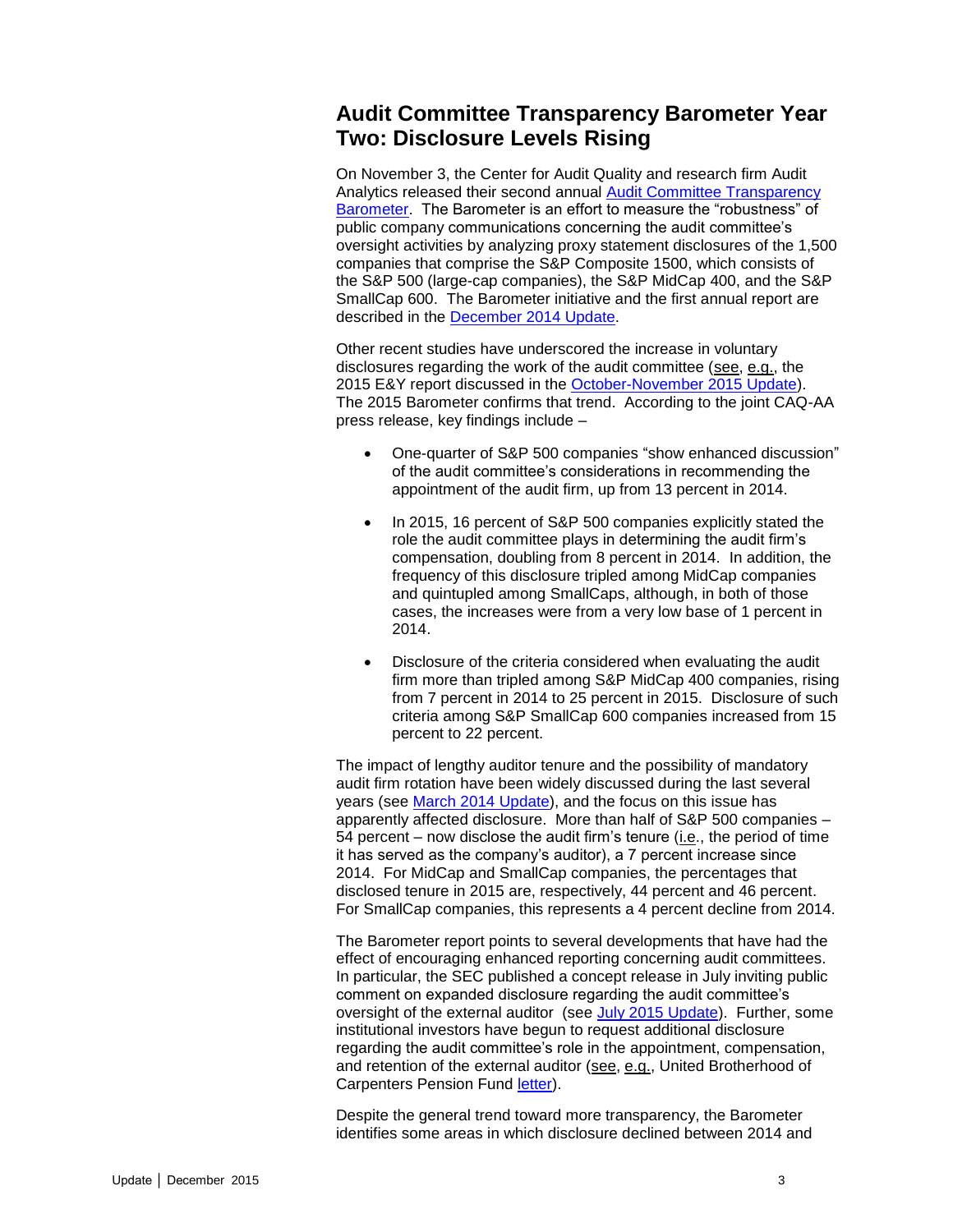#### <span id="page-2-0"></span>**Audit Committee Transparency Barometer Year Two: Disclosure Levels Rising**

On November 3, the Center for Audit Quality and research firm Audit Analytics released their second annual [Audit Committee Transparency](http://www.thecaq.org/docs/default-source/reports-and-publications/2015-audit-committee-transparency-barometer.pdf?sfvrsn=2)  [Barometer.](http://www.thecaq.org/docs/default-source/reports-and-publications/2015-audit-committee-transparency-barometer.pdf?sfvrsn=2) The Barometer is an effort to measure the "robustness" of public company communications concerning the audit committee's oversight activities by analyzing proxy statement disclosures of the 1,500 companies that comprise the S&P Composite 1500, which consists of the S&P 500 (large-cap companies), the S&P MidCap 400, and the S&P SmallCap 600. The Barometer initiative and the first annual report are described in the [December 2014 Update.](http://www.bakermckenzie.com/files/Publication/80219f61-774e-4406-904c-9bf6d4e95f34/Presentation/PublicationAttachment/f455b247-a3fb-42f7-85df-a1bafb8724b6/al_bf_auditcommitteeupdate_dec14.pdf)

Other recent studies have underscored the increase in voluntary disclosures regarding the work of the audit committee (see, e.g., the 2015 E&Y report discussed in the [October-November 2015 Update\)](http://www.bakermckenzie.com/files/Uploads/Documents/Publications/NA/nl_na_auditcommitteeupdate_nov15.pdf). The 2015 Barometer confirms that trend. According to the joint CAQ-AA press release, key findings include –

- One-quarter of S&P 500 companies "show enhanced discussion" of the audit committee's considerations in recommending the appointment of the audit firm, up from 13 percent in 2014.
- In 2015, 16 percent of S&P 500 companies explicitly stated the role the audit committee plays in determining the audit firm's compensation, doubling from 8 percent in 2014. In addition, the frequency of this disclosure tripled among MidCap companies and quintupled among SmallCaps, although, in both of those cases, the increases were from a very low base of 1 percent in 2014.
- Disclosure of the criteria considered when evaluating the audit firm more than tripled among S&P MidCap 400 companies, rising from 7 percent in 2014 to 25 percent in 2015. Disclosure of such criteria among S&P SmallCap 600 companies increased from 15 percent to 22 percent.

The impact of lengthy auditor tenure and the possibility of mandatory audit firm rotation have been widely discussed during the last several years (see [March 2014 Update\)](http://www.bakermckenzie.com/files/Publication/c00c5660-618e-4270-976f-02f5fcdfeb1c/Presentation/PublicationAttachment/5ea4d806-4bf6-4aa6-8909-05baccbd8da1/AL_BF_AuditCommitteeUpdate_Mar14.pdf), and the focus on this issue has apparently affected disclosure. More than half of S&P 500 companies – 54 percent – now disclose the audit firm's tenure (i.e., the period of time it has served as the company's auditor), a 7 percent increase since 2014. For MidCap and SmallCap companies, the percentages that disclosed tenure in 2015 are, respectively, 44 percent and 46 percent. For SmallCap companies, this represents a 4 percent decline from 2014.

The Barometer report points to several developments that have had the effect of encouraging enhanced reporting concerning audit committees. In particular, the SEC published a concept release in July inviting public comment on expanded disclosure regarding the audit committee's oversight of the external auditor (see [July 2015 Update\)](http://www.bakermckenzie.com/files/Uploads/Documents/Publications/NA/nl_washingtondc_auditupdate22_jul15.pdf). Further, some institutional investors have begun to request additional disclosure regarding the audit committee's role in the appointment, compensation, and retention of the external auditor (see, e.g., United Brotherhood of Carpenters Pension Fund [letter\)](https://www.carpenters.org/Libraries/Corporate_Affairs/DOC_4_2014_Sample_AI_Letter.sflb.ashx).

Despite the general trend toward more transparency, the Barometer identifies some areas in which disclosure declined between 2014 and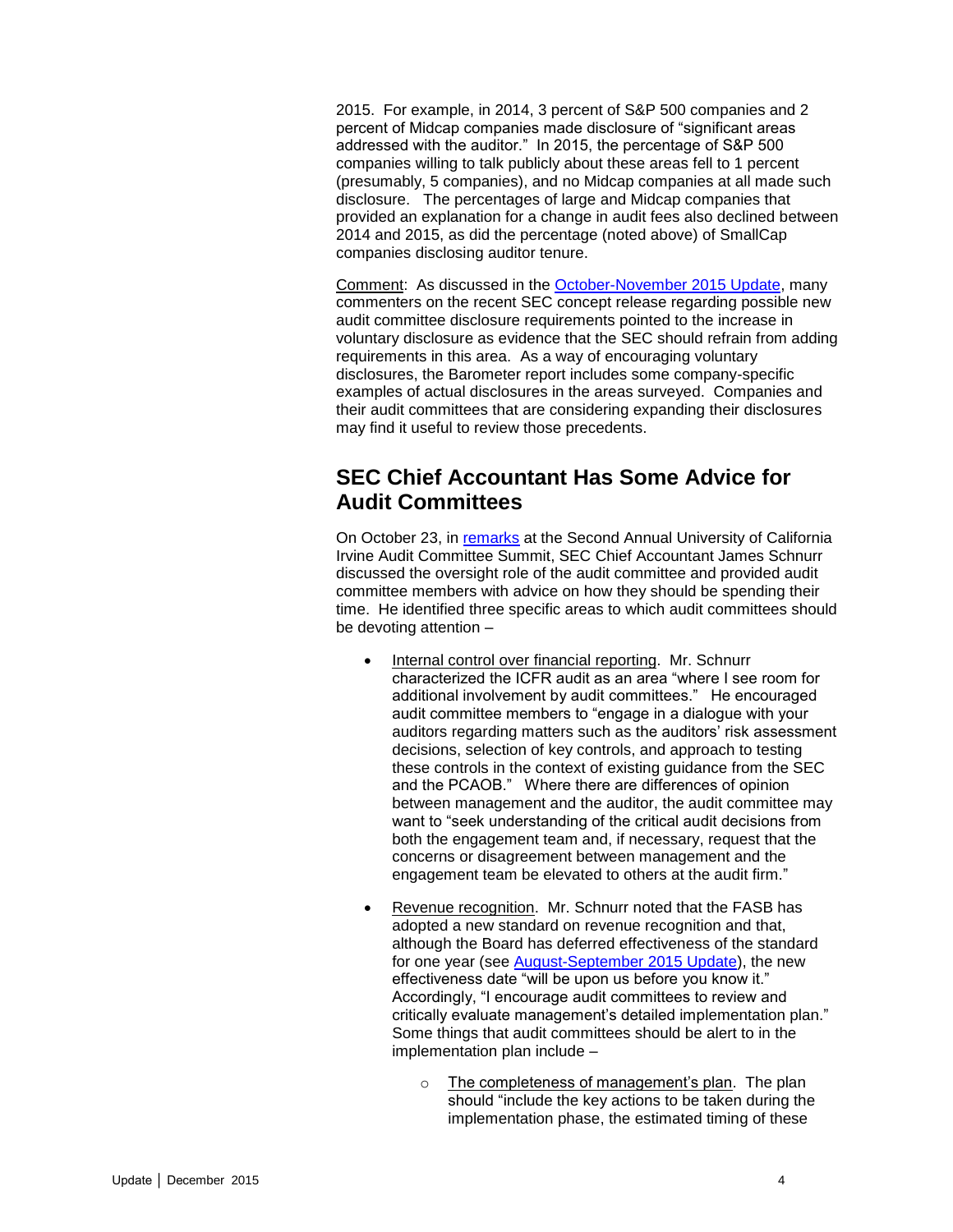2015. For example, in 2014, 3 percent of S&P 500 companies and 2 percent of Midcap companies made disclosure of "significant areas addressed with the auditor." In 2015, the percentage of S&P 500 companies willing to talk publicly about these areas fell to 1 percent (presumably, 5 companies), and no Midcap companies at all made such disclosure. The percentages of large and Midcap companies that provided an explanation for a change in audit fees also declined between 2014 and 2015, as did the percentage (noted above) of SmallCap companies disclosing auditor tenure.

Comment: As discussed in the [October-November 2015 Update,](http://www.bakermckenzie.com/files/Uploads/Documents/Publications/NA/nl_na_auditcommitteeupdate_nov15.pdf) many commenters on the recent SEC concept release regarding possible new audit committee disclosure requirements pointed to the increase in voluntary disclosure as evidence that the SEC should refrain from adding requirements in this area. As a way of encouraging voluntary disclosures, the Barometer report includes some company-specific examples of actual disclosures in the areas surveyed. Companies and their audit committees that are considering expanding their disclosures may find it useful to review those precedents.

#### <span id="page-3-0"></span>**SEC Chief Accountant Has Some Advice for Audit Committees**

On October 23, in [remarks](http://www.sec.gov/news/speech/schnurr-speech-uci-audit-committee-summit.html) at the Second Annual University of California Irvine Audit Committee Summit, SEC Chief Accountant James Schnurr discussed the oversight role of the audit committee and provided audit committee members with advice on how they should be spending their time. He identified three specific areas to which audit committees should be devoting attention –

- Internal control over financial reporting. Mr. Schnurr characterized the ICFR audit as an area "where I see room for additional involvement by audit committees." He encouraged audit committee members to "engage in a dialogue with your auditors regarding matters such as the auditors' risk assessment decisions, selection of key controls, and approach to testing these controls in the context of existing guidance from the SEC and the PCAOB." Where there are differences of opinion between management and the auditor, the audit committee may want to "seek understanding of the critical audit decisions from both the engagement team and, if necessary, request that the concerns or disagreement between management and the engagement team be elevated to others at the audit firm."
- Revenue recognition. Mr. Schnurr noted that the FASB has adopted a new standard on revenue recognition and that, although the Board has deferred effectiveness of the standard for one year (see [August-September 2015 Update\)](http://www.bakermckenzie.com/files/Uploads/Documents/Publications/NA/NL_Washington_AuditUpdate23_Aug15.pdf), the new effectiveness date "will be upon us before you know it." Accordingly, "I encourage audit committees to review and critically evaluate management's detailed implementation plan." Some things that audit committees should be alert to in the implementation plan include –
	- o The completeness of management's plan. The plan should "include the key actions to be taken during the implementation phase, the estimated timing of these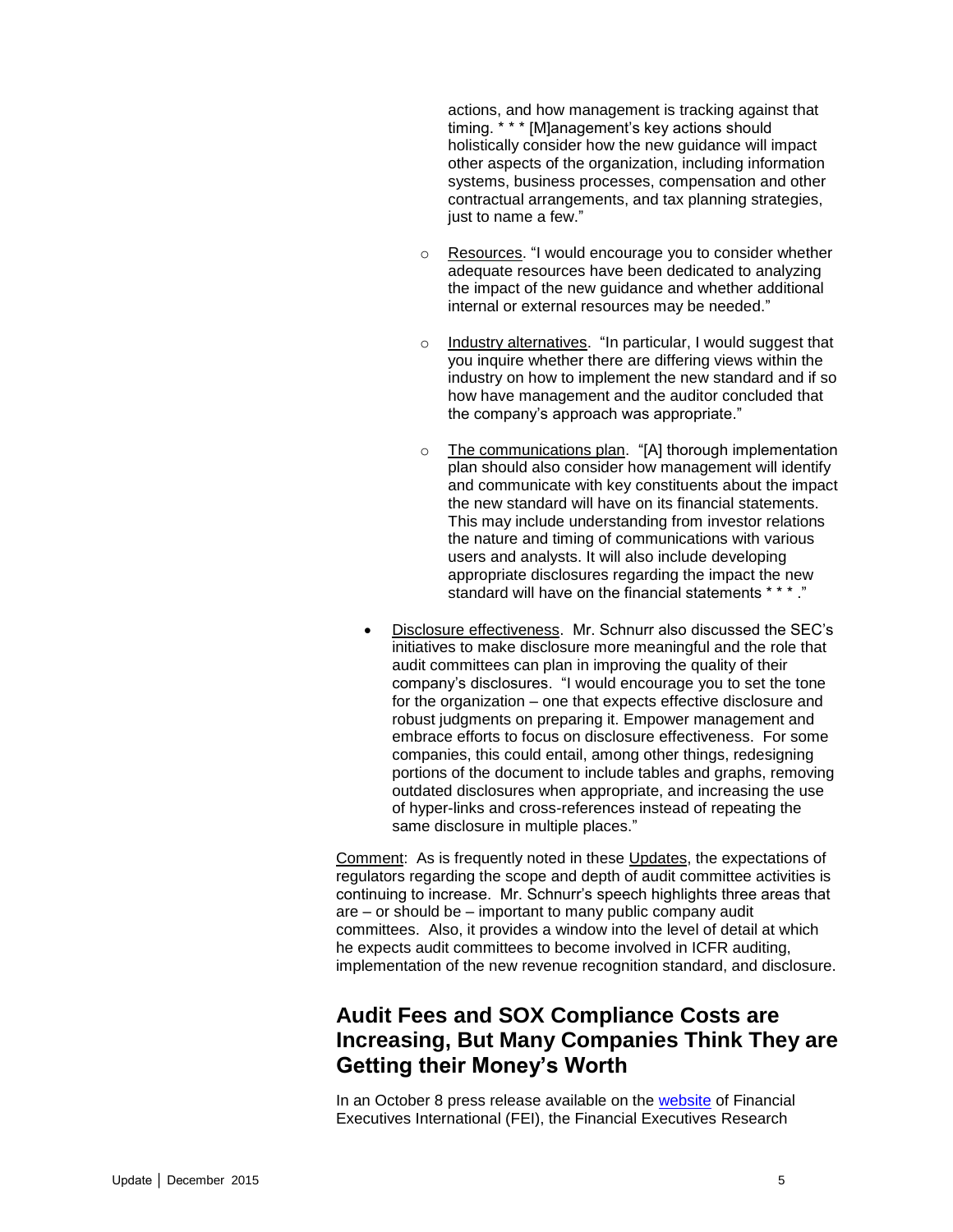actions, and how management is tracking against that timing. \* \* \* [M]anagement's key actions should holistically consider how the new guidance will impact other aspects of the organization, including information systems, business processes, compensation and other contractual arrangements, and tax planning strategies, just to name a few."

- o Resources. "I would encourage you to consider whether adequate resources have been dedicated to analyzing the impact of the new guidance and whether additional internal or external resources may be needed."
- o Industry alternatives. "In particular, I would suggest that you inquire whether there are differing views within the industry on how to implement the new standard and if so how have management and the auditor concluded that the company's approach was appropriate."
- o The communications plan. "[A] thorough implementation plan should also consider how management will identify and communicate with key constituents about the impact the new standard will have on its financial statements. This may include understanding from investor relations the nature and timing of communications with various users and analysts. It will also include developing appropriate disclosures regarding the impact the new standard will have on the financial statements \* \* \* ."
- Disclosure effectiveness. Mr. Schnurr also discussed the SEC's initiatives to make disclosure more meaningful and the role that audit committees can plan in improving the quality of their company's disclosures. "I would encourage you to set the tone for the organization – one that expects effective disclosure and robust judgments on preparing it. Empower management and embrace efforts to focus on disclosure effectiveness. For some companies, this could entail, among other things, redesigning portions of the document to include tables and graphs, removing outdated disclosures when appropriate, and increasing the use of hyper-links and cross-references instead of repeating the same disclosure in multiple places."

Comment: As is frequently noted in these Updates, the expectations of regulators regarding the scope and depth of audit committee activities is continuing to increase. Mr. Schnurr's speech highlights three areas that are – or should be – important to many public company audit committees. Also, it provides a window into the level of detail at which he expects audit committees to become involved in ICFR auditing, implementation of the new revenue recognition standard, and disclosure.

#### <span id="page-4-0"></span>**Audit Fees and SOX Compliance Costs are Increasing, But Many Companies Think They are Getting their Money's Worth**

In an October 8 press release available on the [website](http://www.financialexecutives.org/) of Financial Executives International (FEI), the Financial Executives Research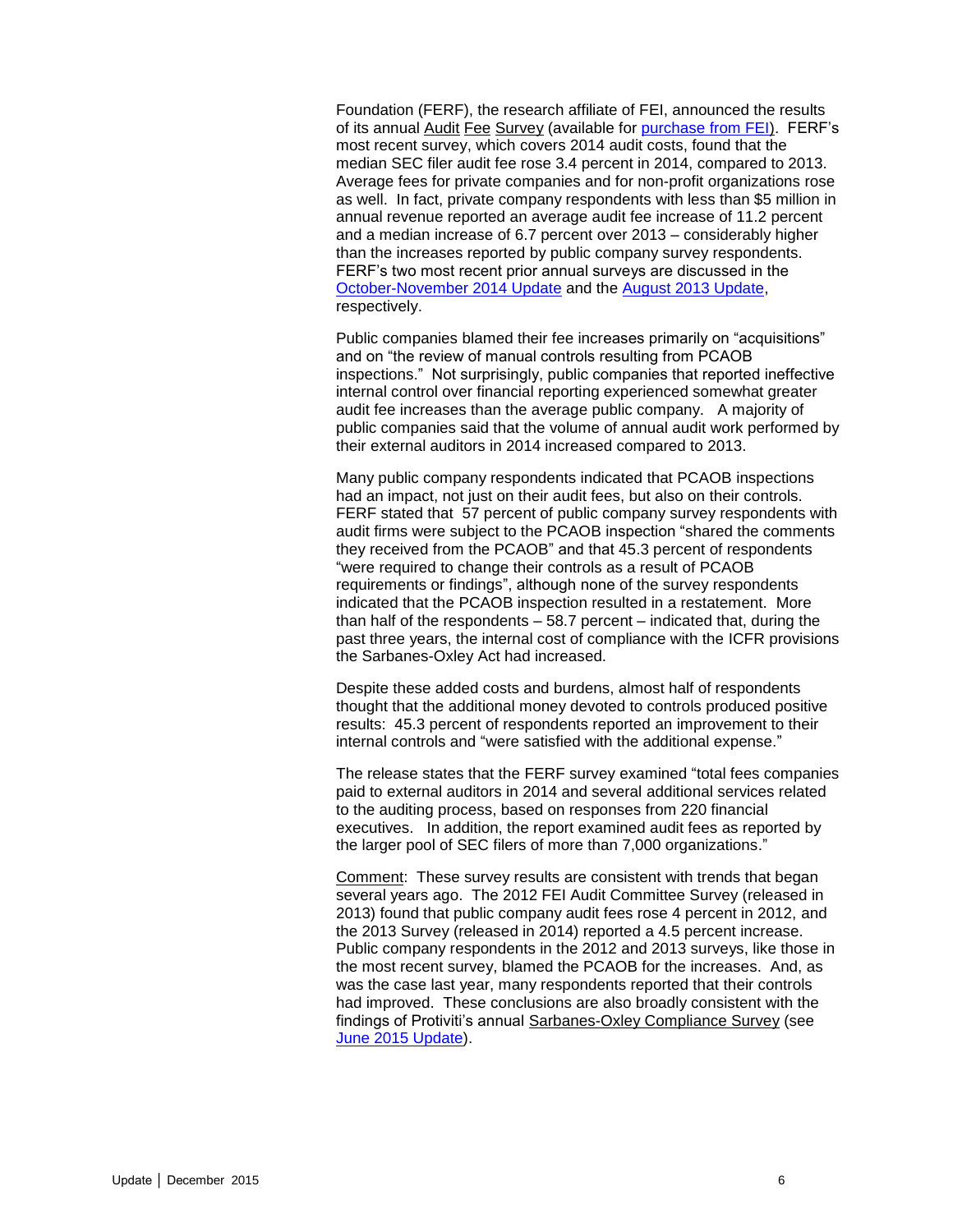Foundation (FERF), the research affiliate of FEI, announced the results of its annual Audit Fee Survey (available for [purchase from FEI\)](https://www.financialexecutives.org/KenticoCMS/Research/Research-Publications/publication.aspx?prd_key=65212bd2-2106-45d8-ba85-1f672a823a58). FERF's most recent survey, which covers 2014 audit costs, found that the median SEC filer audit fee rose 3.4 percent in 2014, compared to 2013. Average fees for private companies and for non-profit organizations rose as well. In fact, private company respondents with less than \$5 million in annual revenue reported an average audit fee increase of 11.2 percent and a median increase of 6.7 percent over 2013 – considerably higher than the increases reported by public company survey respondents. FERF's two most recent prior annual surveys are discussed in the [October-November 2014 Update](http://www.bakermckenzie.com/files/Publication/76a142ba-ce58-4e74-8bb7-6fe51bb80dff/Presentation/PublicationAttachment/c63a8810-4af2-4a3f-9917-72ed25259fb3/al_bf_auditcommitteeupdate_octnov14.pdf) and the [August 2013 Update,](http://www.bakermckenzie.com/files/Publication/1e8a8e1c-fd87-4ae0-aa04-1a47aa7e4258/Presentation/PublicationAttachment/6063d557-3371-4812-8e16-1cfe7db6a0e1/al_washington_auditcommitteeupdate_aug13.pdf) respectively.

Public companies blamed their fee increases primarily on "acquisitions" and on "the review of manual controls resulting from PCAOB inspections." Not surprisingly, public companies that reported ineffective internal control over financial reporting experienced somewhat greater audit fee increases than the average public company. A majority of public companies said that the volume of annual audit work performed by their external auditors in 2014 increased compared to 2013.

Many public company respondents indicated that PCAOB inspections had an impact, not just on their audit fees, but also on their controls. FERF stated that 57 percent of public company survey respondents with audit firms were subject to the PCAOB inspection "shared the comments they received from the PCAOB" and that 45.3 percent of respondents "were required to change their controls as a result of PCAOB requirements or findings", although none of the survey respondents indicated that the PCAOB inspection resulted in a restatement. More than half of the respondents – 58.7 percent – indicated that, during the past three years, the internal cost of compliance with the ICFR provisions the Sarbanes-Oxley Act had increased.

Despite these added costs and burdens, almost half of respondents thought that the additional money devoted to controls produced positive results: 45.3 percent of respondents reported an improvement to their internal controls and "were satisfied with the additional expense."

The release states that the FERF survey examined "total fees companies paid to external auditors in 2014 and several additional services related to the auditing process, based on responses from 220 financial executives. In addition, the report examined audit fees as reported by the larger pool of SEC filers of more than 7,000 organizations."

Comment: These survey results are consistent with trends that began several years ago. The 2012 FEI Audit Committee Survey (released in 2013) found that public company audit fees rose 4 percent in 2012, and the 2013 Survey (released in 2014) reported a 4.5 percent increase. Public company respondents in the 2012 and 2013 surveys, like those in the most recent survey, blamed the PCAOB for the increases. And, as was the case last year, many respondents reported that their controls had improved. These conclusions are also broadly consistent with the findings of Protiviti's annual Sarbanes-Oxley Compliance Survey (see [June 2015 Update\)](http://www.bakermckenzie.com/files/Publication/934ae90a-cdff-4209-a4b8-789cd7cd4eba/Presentation/PublicationAttachment/0c294dc4-983d-4237-bf23-836563216052/nl_bf_auditcommitteeupdate_jun15.pdf).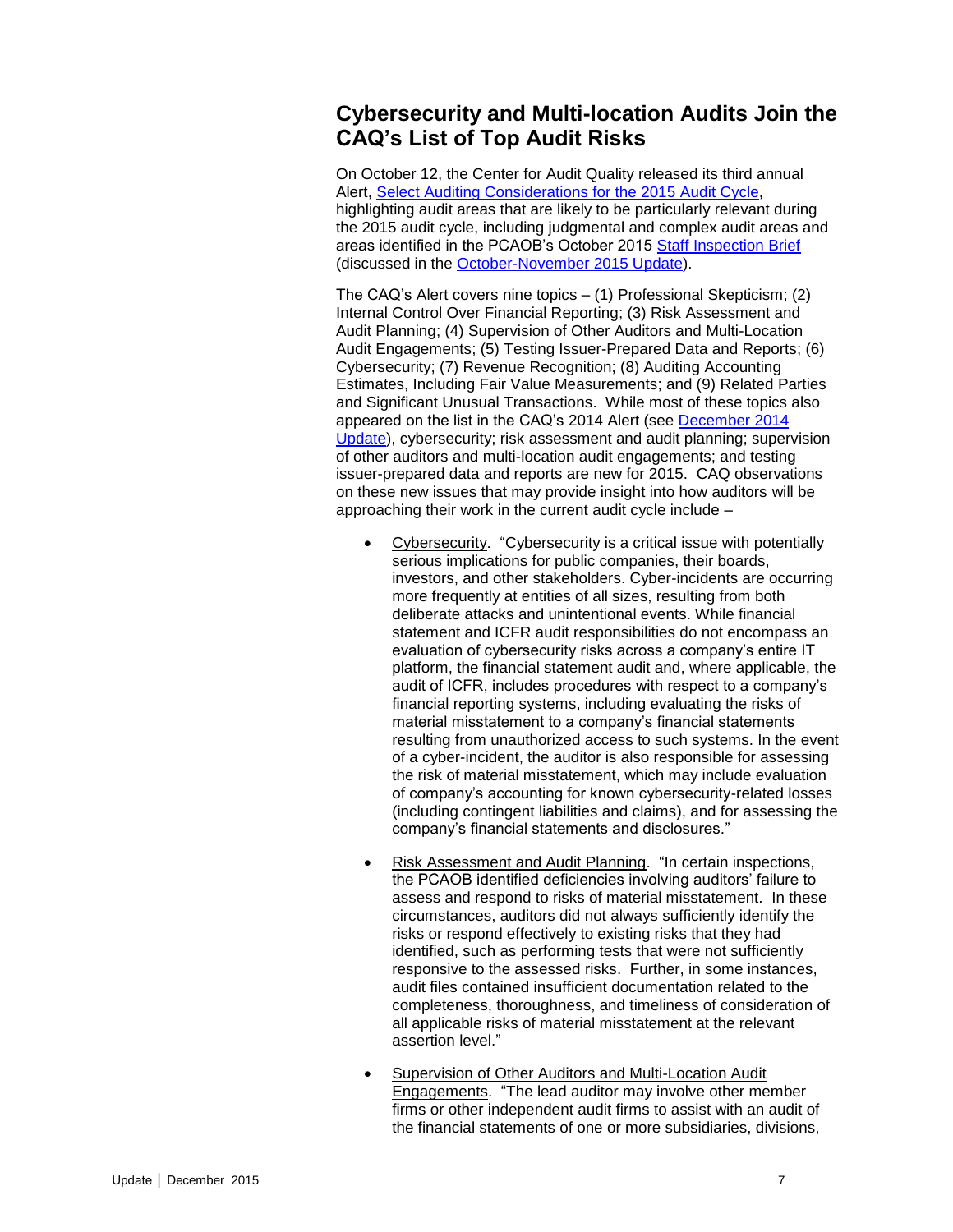#### <span id="page-6-0"></span>**Cybersecurity and Multi-location Audits Join the CAQ's List of Top Audit Risks**

On October 12, the Center for Audit Quality released its third annual Alert, [Select Auditing Considerations for the 2015 Audit Cycle,](http://www.thecaq.org/docs/default-source/alerts/select-auditing-considerations-for-the-2015-audit-cycle.pdf?sfvrsn=2) highlighting audit areas that are likely to be particularly relevant during the 2015 audit cycle, including judgmental and complex audit areas and areas identified in the PCAOB's October 2015 [Staff Inspection Brief](http://pcaobus.org/Inspections/Documents/Inspection-Brief-2015-2-2015-Inspections.pdf) (discussed in the [October-November 2015 Update\)](http://www.bakermckenzie.com/files/Uploads/Documents/Publications/NA/nl_na_auditcommitteeupdate_nov15.pdf).

The CAQ's Alert covers nine topics – (1) Professional Skepticism; (2) Internal Control Over Financial Reporting; (3) Risk Assessment and Audit Planning; (4) Supervision of Other Auditors and Multi-Location Audit Engagements; (5) Testing Issuer-Prepared Data and Reports; (6) Cybersecurity; (7) Revenue Recognition; (8) Auditing Accounting Estimates, Including Fair Value Measurements; and (9) Related Parties and Significant Unusual Transactions. While most of these topics also appeared on the list in the CAQ's 2014 Alert (see [December 2014](http://www.bakermckenzie.com/files/Publication/80219f61-774e-4406-904c-9bf6d4e95f34/Presentation/PublicationAttachment/f455b247-a3fb-42f7-85df-a1bafb8724b6/al_bf_auditcommitteeupdate_dec14.pdf)  [Update\)](http://www.bakermckenzie.com/files/Publication/80219f61-774e-4406-904c-9bf6d4e95f34/Presentation/PublicationAttachment/f455b247-a3fb-42f7-85df-a1bafb8724b6/al_bf_auditcommitteeupdate_dec14.pdf), cybersecurity; risk assessment and audit planning; supervision of other auditors and multi-location audit engagements; and testing issuer-prepared data and reports are new for 2015. CAQ observations on these new issues that may provide insight into how auditors will be approaching their work in the current audit cycle include –

- Cybersecurity. "Cybersecurity is a critical issue with potentially serious implications for public companies, their boards, investors, and other stakeholders. Cyber-incidents are occurring more frequently at entities of all sizes, resulting from both deliberate attacks and unintentional events. While financial statement and ICFR audit responsibilities do not encompass an evaluation of cybersecurity risks across a company's entire IT platform, the financial statement audit and, where applicable, the audit of ICFR, includes procedures with respect to a company's financial reporting systems, including evaluating the risks of material misstatement to a company's financial statements resulting from unauthorized access to such systems. In the event of a cyber-incident, the auditor is also responsible for assessing the risk of material misstatement, which may include evaluation of company's accounting for known cybersecurity-related losses (including contingent liabilities and claims), and for assessing the company's financial statements and disclosures."
- Risk Assessment and Audit Planning. "In certain inspections, the PCAOB identified deficiencies involving auditors' failure to assess and respond to risks of material misstatement. In these circumstances, auditors did not always sufficiently identify the risks or respond effectively to existing risks that they had identified, such as performing tests that were not sufficiently responsive to the assessed risks. Further, in some instances, audit files contained insufficient documentation related to the completeness, thoroughness, and timeliness of consideration of all applicable risks of material misstatement at the relevant assertion level."
- Supervision of Other Auditors and Multi-Location Audit Engagements. "The lead auditor may involve other member firms or other independent audit firms to assist with an audit of the financial statements of one or more subsidiaries, divisions,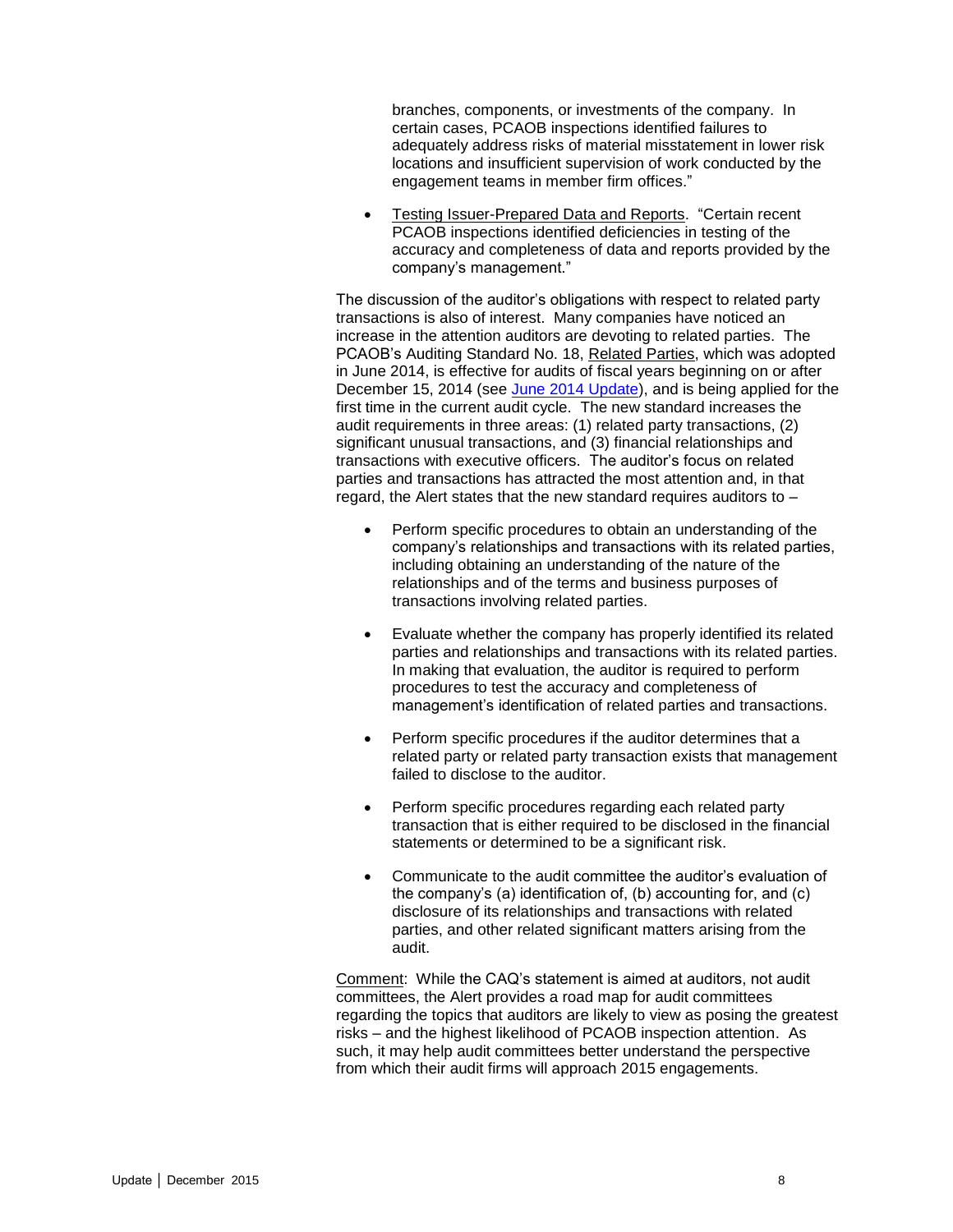branches, components, or investments of the company. In certain cases, PCAOB inspections identified failures to adequately address risks of material misstatement in lower risk locations and insufficient supervision of work conducted by the engagement teams in member firm offices."

 Testing Issuer-Prepared Data and Reports. "Certain recent PCAOB inspections identified deficiencies in testing of the accuracy and completeness of data and reports provided by the company's management."

The discussion of the auditor's obligations with respect to related party transactions is also of interest. Many companies have noticed an increase in the attention auditors are devoting to related parties. The PCAOB's Auditing Standard No. 18, Related Parties, which was adopted in June 2014, is effective for audits of fiscal years beginning on or after December 15, 2014 (see [June 2014 Update\)](http://www.bakermckenzie.com/files/Publication/069a11e3-86e6-41d2-8cbd-57782bc6866a/Presentation/PublicationAttachment/2a094d77-7adf-4e34-8add-5f9d9af4d103/al_na_auditoroversightupdate_jun14.pdf), and is being applied for the first time in the current audit cycle. The new standard increases the audit requirements in three areas: (1) related party transactions, (2) significant unusual transactions, and (3) financial relationships and transactions with executive officers. The auditor's focus on related parties and transactions has attracted the most attention and, in that regard, the Alert states that the new standard requires auditors to –

- Perform specific procedures to obtain an understanding of the company's relationships and transactions with its related parties, including obtaining an understanding of the nature of the relationships and of the terms and business purposes of transactions involving related parties.
- Evaluate whether the company has properly identified its related parties and relationships and transactions with its related parties. In making that evaluation, the auditor is required to perform procedures to test the accuracy and completeness of management's identification of related parties and transactions.
- Perform specific procedures if the auditor determines that a related party or related party transaction exists that management failed to disclose to the auditor.
- Perform specific procedures regarding each related party transaction that is either required to be disclosed in the financial statements or determined to be a significant risk.
- Communicate to the audit committee the auditor's evaluation of the company's (a) identification of, (b) accounting for, and (c) disclosure of its relationships and transactions with related parties, and other related significant matters arising from the audit.

Comment: While the CAQ's statement is aimed at auditors, not audit committees, the Alert provides a road map for audit committees regarding the topics that auditors are likely to view as posing the greatest risks – and the highest likelihood of PCAOB inspection attention. As such, it may help audit committees better understand the perspective from which their audit firms will approach 2015 engagements.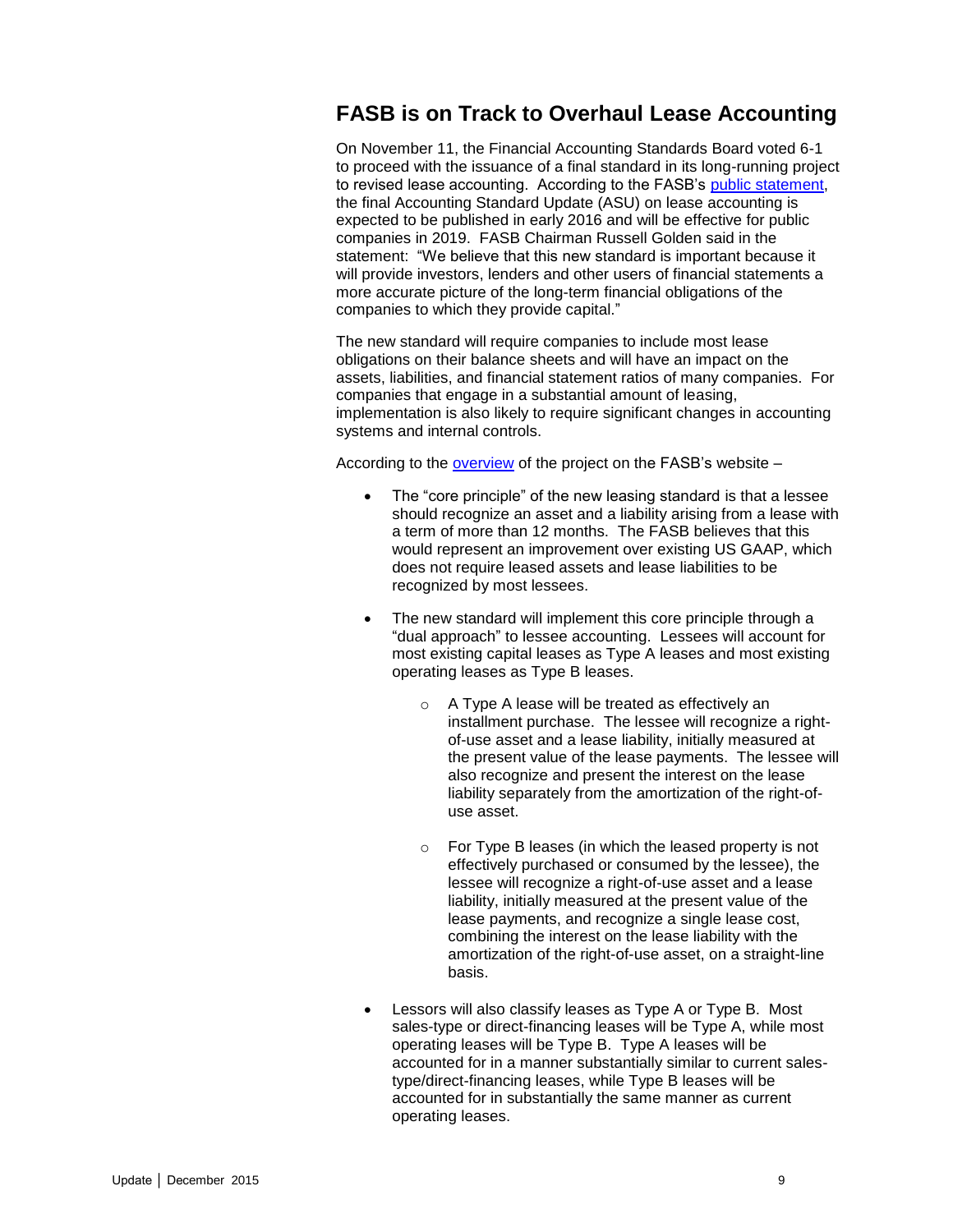### <span id="page-8-0"></span>**FASB is on Track to Overhaul Lease Accounting**

On November 11, the Financial Accounting Standards Board voted 6-1 to proceed with the issuance of a final standard in its long-running project to revised lease accounting. According to the FASB's [public statement,](http://www.fasb.org/cs/ContentServer?c=FASBContent_C&pagename=FASB%2FFASBContent_C%2FNewsPage&cid=1176167530388) the final Accounting Standard Update (ASU) on lease accounting is expected to be published in early 2016 and will be effective for public companies in 2019. FASB Chairman Russell Golden said in the statement: "We believe that this new standard is important because it will provide investors, lenders and other users of financial statements a more accurate picture of the long-term financial obligations of the companies to which they provide capital."

The new standard will require companies to include most lease obligations on their balance sheets and will have an impact on the assets, liabilities, and financial statement ratios of many companies. For companies that engage in a substantial amount of leasing, implementation is also likely to require significant changes in accounting systems and internal controls.

According to the [overview](http://www.fasb.org/jsp/FASB/FASBContent_C/ProjectUpdatePage&cid=900000011123) of the project on the FASB's website –

- The "core principle" of the new leasing standard is that a lessee should recognize an asset and a liability arising from a lease with a term of more than 12 months. The FASB believes that this would represent an improvement over existing US GAAP, which does not require leased assets and lease liabilities to be recognized by most lessees.
- The new standard will implement this core principle through a "dual approach" to lessee accounting. Lessees will account for most existing capital leases as Type A leases and most existing operating leases as Type B leases.
	- o A Type A lease will be treated as effectively an installment purchase. The lessee will recognize a rightof-use asset and a lease liability, initially measured at the present value of the lease payments. The lessee will also recognize and present the interest on the lease liability separately from the amortization of the right-ofuse asset.
	- o For Type B leases (in which the leased property is not effectively purchased or consumed by the lessee), the lessee will recognize a right-of-use asset and a lease liability, initially measured at the present value of the lease payments, and recognize a single lease cost, combining the interest on the lease liability with the amortization of the right-of-use asset, on a straight-line basis.
- Lessors will also classify leases as Type A or Type B. Most sales-type or direct-financing leases will be Type A, while most operating leases will be Type B. Type A leases will be accounted for in a manner substantially similar to current salestype/direct-financing leases, while Type B leases will be accounted for in substantially the same manner as current operating leases.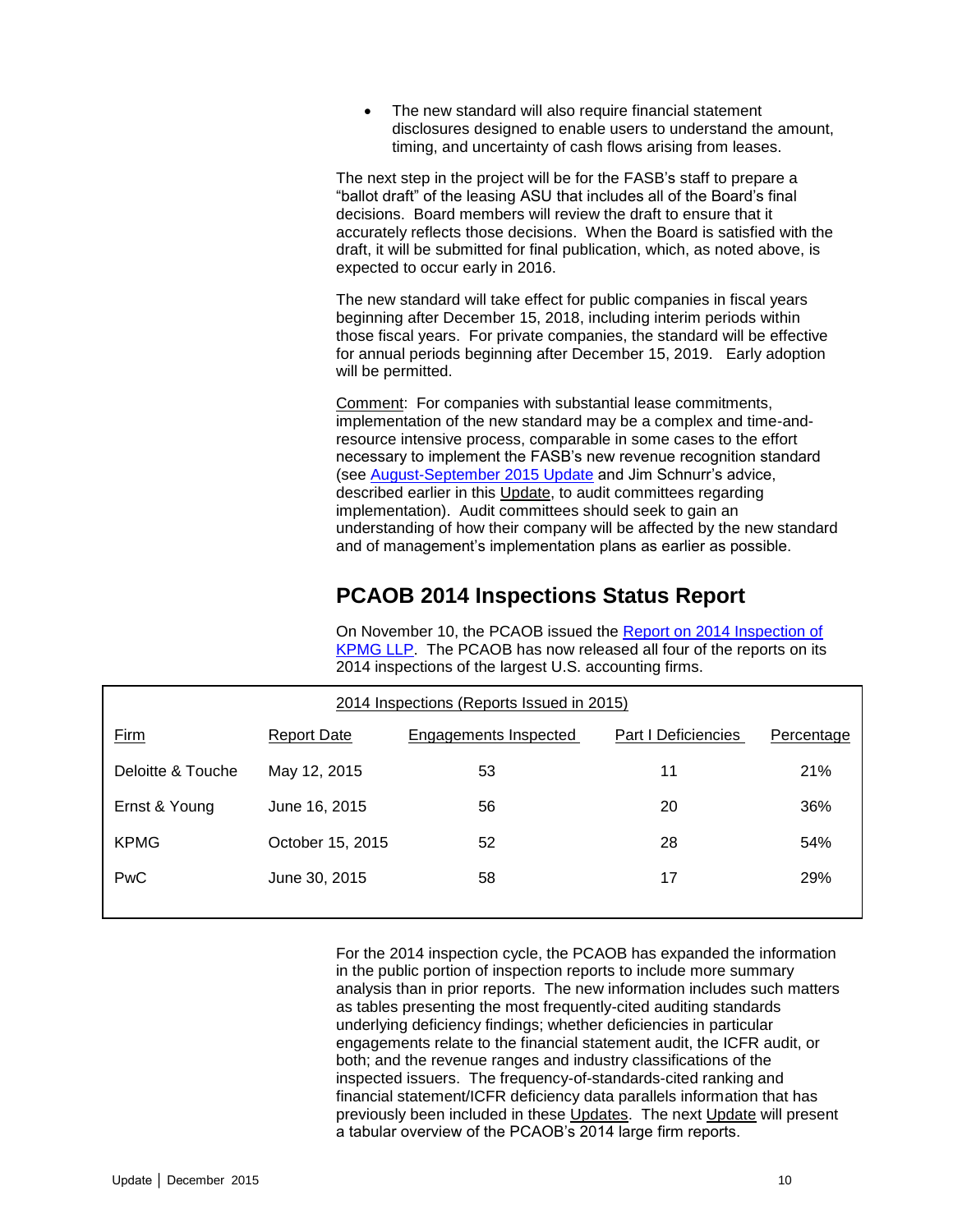The new standard will also require financial statement disclosures designed to enable users to understand the amount, timing, and uncertainty of cash flows arising from leases.

The next step in the project will be for the FASB's staff to prepare a "ballot draft" of the leasing ASU that includes all of the Board's final decisions. Board members will review the draft to ensure that it accurately reflects those decisions. When the Board is satisfied with the draft, it will be submitted for final publication, which, as noted above, is expected to occur early in 2016.

The new standard will take effect for public companies in fiscal years beginning after December 15, 2018, including interim periods within those fiscal years. For private companies, the standard will be effective for annual periods beginning after December 15, 2019. Early adoption will be permitted.

Comment: For companies with substantial lease commitments, implementation of the new standard may be a complex and time-andresource intensive process, comparable in some cases to the effort necessary to implement the FASB's new revenue recognition standard (see [August-September 2015 Update](http://www.bakermckenzie.com/files/Uploads/Documents/Publications/NA/NL_Washington_AuditUpdate23_Aug15.pdf) and Jim Schnurr's advice, described earlier in this Update, to audit committees regarding implementation). Audit committees should seek to gain an understanding of how their company will be affected by the new standard and of management's implementation plans as earlier as possible.

### **PCAOB 2014 Inspections Status Report**

On November 10, the PCAOB issued the [Report on 2014 Inspection of](http://pcaobus.org/Inspections/Reports/Documents/2015-KPMG.pdf)  [KPMG LLP.](http://pcaobus.org/Inspections/Reports/Documents/2015-KPMG.pdf) The PCAOB has now released all four of the reports on its 2014 inspections of the largest U.S. accounting firms.

<span id="page-9-0"></span>

| 2014 Inspections (Reports Issued in 2015) |                    |                       |                     |            |
|-------------------------------------------|--------------------|-----------------------|---------------------|------------|
| Firm                                      | <b>Report Date</b> | Engagements Inspected | Part I Deficiencies | Percentage |
| Deloitte & Touche                         | May 12, 2015       | 53                    | 11                  | 21%        |
| Ernst & Young                             | June 16, 2015      | 56                    | 20                  | 36%        |
| <b>KPMG</b>                               | October 15, 2015   | 52                    | 28                  | 54%        |
| PwC                                       | June 30, 2015      | 58                    | 17                  | <b>29%</b> |

For the 2014 inspection cycle, the PCAOB has expanded the information in the public portion of inspection reports to include more summary analysis than in prior reports. The new information includes such matters as tables presenting the most frequently-cited auditing standards underlying deficiency findings; whether deficiencies in particular engagements relate to the financial statement audit, the ICFR audit, or both; and the revenue ranges and industry classifications of the inspected issuers. The frequency-of-standards-cited ranking and financial statement/ICFR deficiency data parallels information that has previously been included in these Updates. The next Update will present a tabular overview of the PCAOB's 2014 large firm reports.